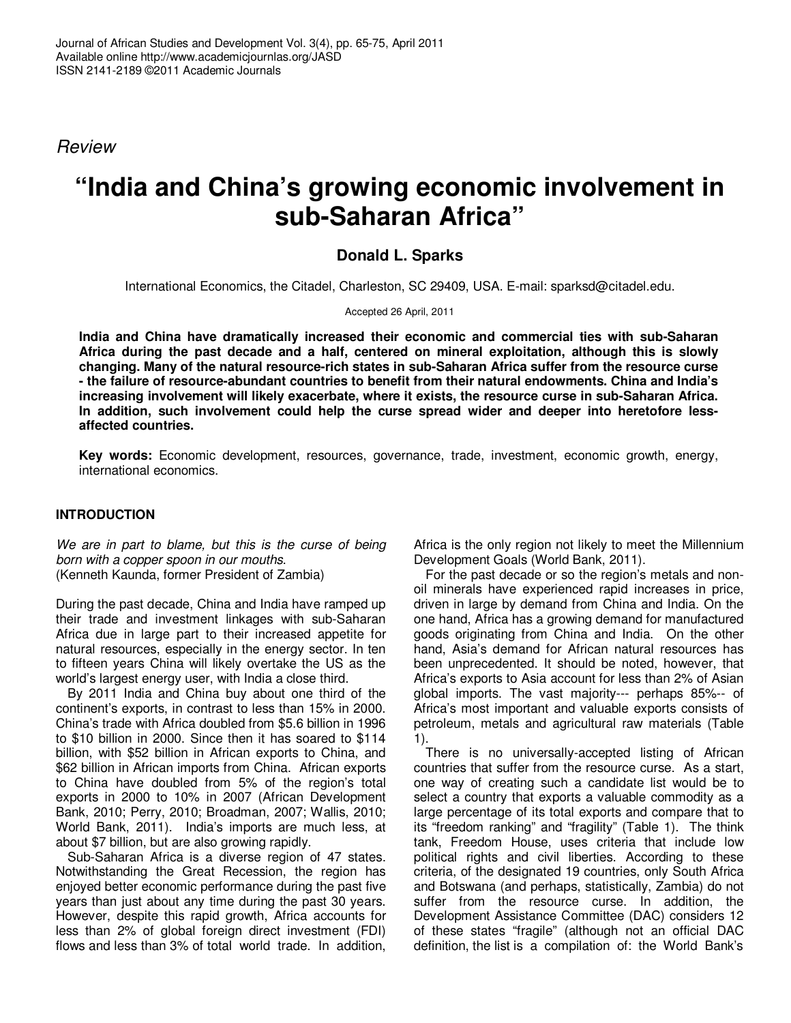Review

# **"India and China's growing economic involvement in sub-Saharan Africa"**

## **Donald L. Sparks**

International Economics, the Citadel, Charleston, SC 29409, USA. E-mail: sparksd@citadel.edu.

Accepted 26 April, 2011

**India and China have dramatically increased their economic and commercial ties with sub-Saharan Africa during the past decade and a half, centered on mineral exploitation, although this is slowly changing. Many of the natural resource-rich states in sub-Saharan Africa suffer from the resource curse - the failure of resource-abundant countries to benefit from their natural endowments. China and India's increasing involvement will likely exacerbate, where it exists, the resource curse in sub-Saharan Africa. In addition, such involvement could help the curse spread wider and deeper into heretofore lessaffected countries.** 

**Key words:** Economic development, resources, governance, trade, investment, economic growth, energy, international economics.

## **INTRODUCTION**

We are in part to blame, but this is the curse of being born with a copper spoon in our mouths. (Kenneth Kaunda, former President of Zambia)

During the past decade, China and India have ramped up their trade and investment linkages with sub-Saharan Africa due in large part to their increased appetite for natural resources, especially in the energy sector. In ten to fifteen years China will likely overtake the US as the world's largest energy user, with India a close third.

By 2011 India and China buy about one third of the continent's exports, in contrast to less than 15% in 2000. China's trade with Africa doubled from \$5.6 billion in 1996 to \$10 billion in 2000. Since then it has soared to \$114 billion, with \$52 billion in African exports to China, and \$62 billion in African imports from China. African exports to China have doubled from 5% of the region's total exports in 2000 to 10% in 2007 (African Development Bank, 2010; Perry, 2010; Broadman, 2007; Wallis, 2010; World Bank, 2011). India's imports are much less, at about \$7 billion, but are also growing rapidly.

Sub-Saharan Africa is a diverse region of 47 states. Notwithstanding the Great Recession, the region has enjoyed better economic performance during the past five years than just about any time during the past 30 years. However, despite this rapid growth, Africa accounts for less than 2% of global foreign direct investment (FDI) flows and less than 3% of total world trade. In addition, Africa is the only region not likely to meet the Millennium Development Goals (World Bank, 2011).

For the past decade or so the region's metals and nonoil minerals have experienced rapid increases in price, driven in large by demand from China and India. On the one hand, Africa has a growing demand for manufactured goods originating from China and India. On the other hand, Asia's demand for African natural resources has been unprecedented. It should be noted, however, that Africa's exports to Asia account for less than 2% of Asian global imports. The vast majority--- perhaps 85%-- of Africa's most important and valuable exports consists of petroleum, metals and agricultural raw materials (Table 1).

There is no universally-accepted listing of African countries that suffer from the resource curse. As a start, one way of creating such a candidate list would be to select a country that exports a valuable commodity as a large percentage of its total exports and compare that to its "freedom ranking" and "fragility" (Table 1). The think tank, Freedom House, uses criteria that include low political rights and civil liberties. According to these criteria, of the designated 19 countries, only South Africa and Botswana (and perhaps, statistically, Zambia) do not suffer from the resource curse. In addition, the Development Assistance Committee (DAC) considers 12 of these states "fragile" (although not an official DAC definition, the list is a compilation of: the World Bank's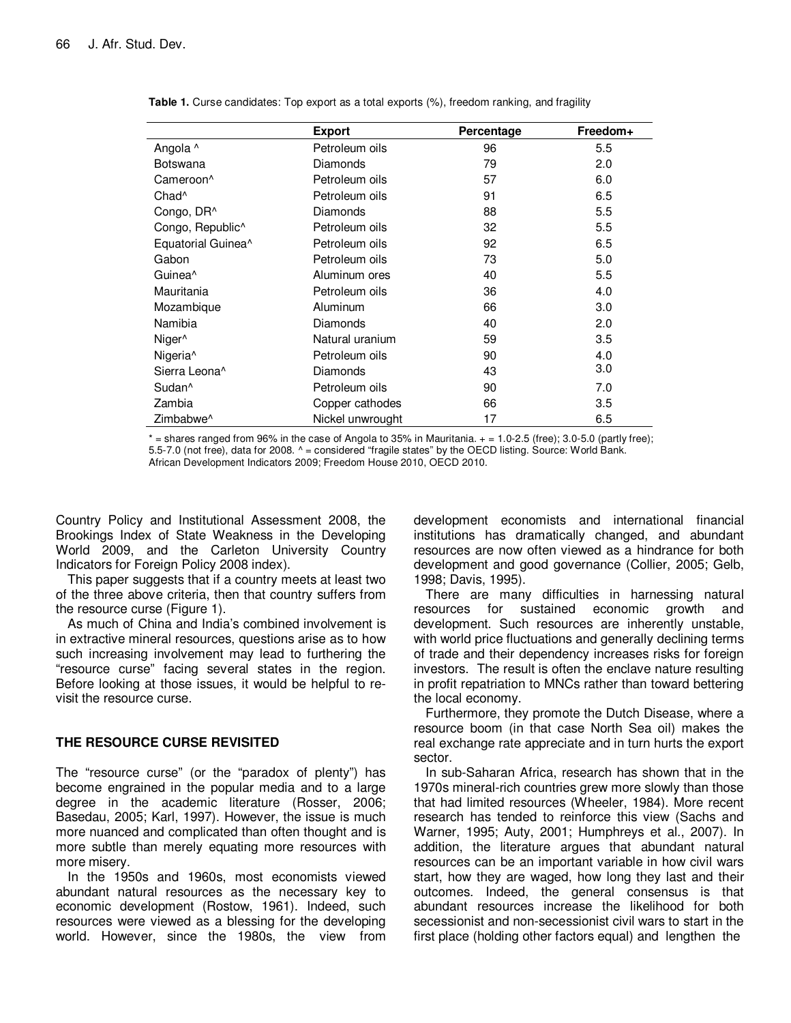|                                | <b>Export</b>    | Percentage | Freedom+ |
|--------------------------------|------------------|------------|----------|
| Angola ^                       | Petroleum oils   | 96         | 5.5      |
| Botswana                       | Diamonds         | 79         | 2.0      |
| Cameroon <sup>^</sup>          | Petroleum oils   | 57         | 6.0      |
| Chad <sup>^</sup>              | Petroleum oils   | 91         | 6.5      |
| Congo, DR^                     | Diamonds         | 88         | 5.5      |
| Congo, Republic <sup>^</sup>   | Petroleum oils   | 32         | 5.5      |
| Equatorial Guinea <sup>^</sup> | Petroleum oils   | 92         | 6.5      |
| Gabon                          | Petroleum oils   | 73         | 5.0      |
| Guinea <sup>^</sup>            | Aluminum ores    | 40         | 5.5      |
| Mauritania                     | Petroleum oils   | 36         | 4.0      |
| Mozambique                     | Aluminum         | 66         | 3.0      |
| Namibia                        | Diamonds         | 40         | 2.0      |
| Niger <sup>^</sup>             | Natural uranium  | 59         | 3.5      |
| Nigeria <sup>^</sup>           | Petroleum oils   | 90         | 4.0      |
| Sierra Leona <sup>^</sup>      | Diamonds         | 43         | 3.0      |
| Sudan <sup>^</sup>             | Petroleum oils   | 90         | 7.0      |
| Zambia                         | Copper cathodes  | 66         | 3.5      |
| Zimbabwe <sup>^</sup>          | Nickel unwrought | 17         | 6.5      |

| Table 1. Curse candidates: Top export as a total exports (%), freedom ranking, and fragility |  |
|----------------------------------------------------------------------------------------------|--|
|----------------------------------------------------------------------------------------------|--|

 $*$  = shares ranged from 96% in the case of Angola to 35% in Mauritania.  $+$  = 1.0-2.5 (free); 3.0-5.0 (partly free); 5.5-7.0 (not free), data for 2008. ^ = considered "fragile states" by the OECD listing. Source: World Bank. African Development Indicators 2009; Freedom House 2010, OECD 2010.

Country Policy and Institutional Assessment 2008, the Brookings Index of State Weakness in the Developing World 2009, and the Carleton University Country Indicators for Foreign Policy 2008 index).

This paper suggests that if a country meets at least two of the three above criteria, then that country suffers from the resource curse (Figure 1).

As much of China and India's combined involvement is in extractive mineral resources, questions arise as to how such increasing involvement may lead to furthering the "resource curse" facing several states in the region. Before looking at those issues, it would be helpful to revisit the resource curse.

## **THE RESOURCE CURSE REVISITED**

The "resource curse" (or the "paradox of plenty") has become engrained in the popular media and to a large degree in the academic literature (Rosser, 2006; Basedau, 2005; Karl, 1997). However, the issue is much more nuanced and complicated than often thought and is more subtle than merely equating more resources with more misery.

In the 1950s and 1960s, most economists viewed abundant natural resources as the necessary key to economic development (Rostow, 1961). Indeed, such resources were viewed as a blessing for the developing world. However, since the 1980s, the view from development economists and international financial institutions has dramatically changed, and abundant resources are now often viewed as a hindrance for both development and good governance (Collier, 2005; Gelb, 1998; Davis, 1995).

There are many difficulties in harnessing natural resources for sustained economic growth and development. Such resources are inherently unstable, with world price fluctuations and generally declining terms of trade and their dependency increases risks for foreign investors. The result is often the enclave nature resulting in profit repatriation to MNCs rather than toward bettering the local economy.

Furthermore, they promote the Dutch Disease, where a resource boom (in that case North Sea oil) makes the real exchange rate appreciate and in turn hurts the export sector.

In sub-Saharan Africa, research has shown that in the 1970s mineral-rich countries grew more slowly than those that had limited resources (Wheeler, 1984). More recent research has tended to reinforce this view (Sachs and Warner, 1995; Auty, 2001; Humphreys et al., 2007). In addition, the literature argues that abundant natural resources can be an important variable in how civil wars start, how they are waged, how long they last and their outcomes. Indeed, the general consensus is that abundant resources increase the likelihood for both secessionist and non-secessionist civil wars to start in the first place (holding other factors equal) and lengthen the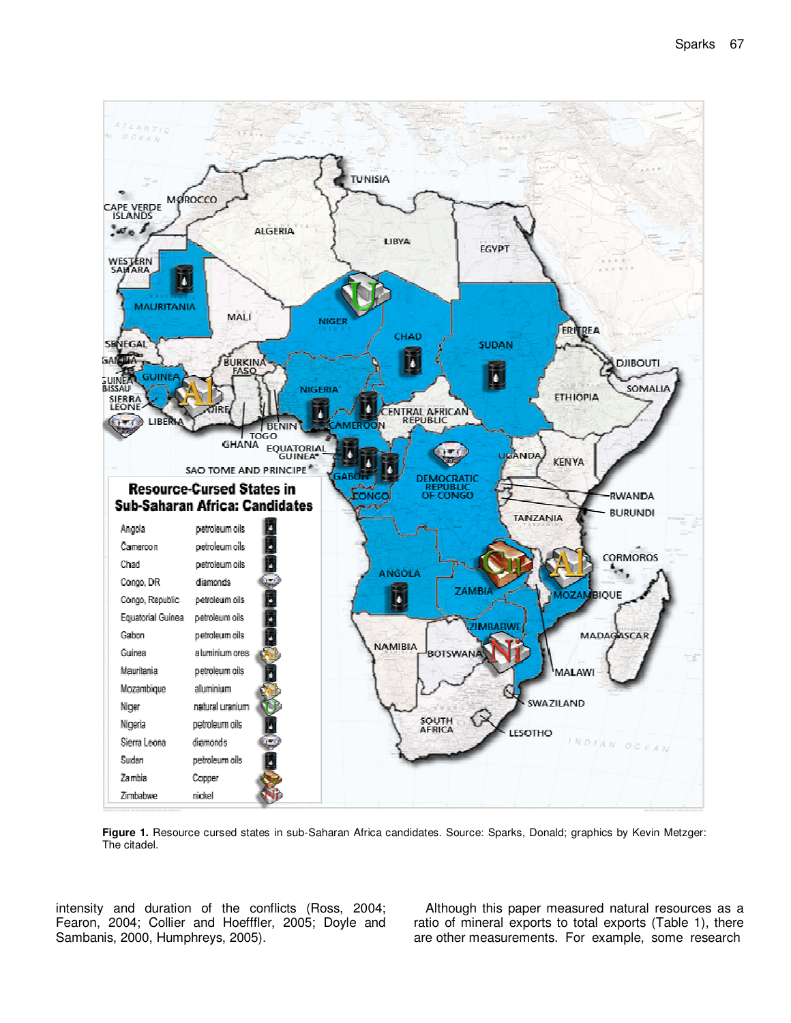

**Figure 1.** Resource cursed states in sub-Saharan Africa candidates. Source: Sparks, Donald; graphics by Kevin Metzger: The citadel.

intensity and duration of the conflicts (Ross, 2004; Fearon, 2004; Collier and Hoefffler, 2005; Doyle and Sambanis, 2000, Humphreys, 2005).

Although this paper measured natural resources as a ratio of mineral exports to total exports (Table 1), there are other measurements. For example, some research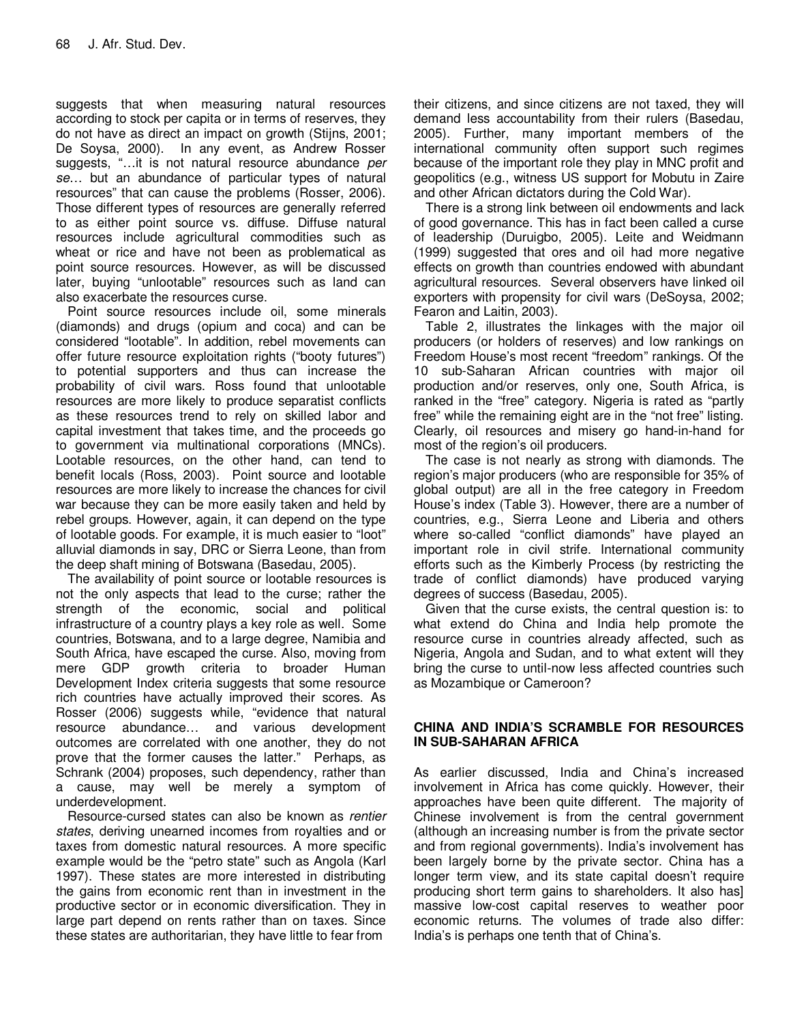suggests that when measuring natural resources according to stock per capita or in terms of reserves, they do not have as direct an impact on growth (Stijns, 2001; De Soysa, 2000). In any event, as Andrew Rosser suggests, "...it is not natural resource abundance per se… but an abundance of particular types of natural resources" that can cause the problems (Rosser, 2006). Those different types of resources are generally referred to as either point source vs. diffuse. Diffuse natural resources include agricultural commodities such as wheat or rice and have not been as problematical as point source resources. However, as will be discussed later, buying "unlootable" resources such as land can also exacerbate the resources curse.

Point source resources include oil, some minerals (diamonds) and drugs (opium and coca) and can be considered "lootable". In addition, rebel movements can offer future resource exploitation rights ("booty futures") to potential supporters and thus can increase the probability of civil wars. Ross found that unlootable resources are more likely to produce separatist conflicts as these resources trend to rely on skilled labor and capital investment that takes time, and the proceeds go to government via multinational corporations (MNCs). Lootable resources, on the other hand, can tend to benefit locals (Ross, 2003). Point source and lootable resources are more likely to increase the chances for civil war because they can be more easily taken and held by rebel groups. However, again, it can depend on the type of lootable goods. For example, it is much easier to "loot" alluvial diamonds in say, DRC or Sierra Leone, than from the deep shaft mining of Botswana (Basedau, 2005).

The availability of point source or lootable resources is not the only aspects that lead to the curse; rather the strength of the economic, social and political infrastructure of a country plays a key role as well. Some countries, Botswana, and to a large degree, Namibia and South Africa, have escaped the curse. Also, moving from mere GDP growth criteria to broader Human Development Index criteria suggests that some resource rich countries have actually improved their scores. As Rosser (2006) suggests while, "evidence that natural resource abundance… and various development outcomes are correlated with one another, they do not prove that the former causes the latter." Perhaps, as Schrank (2004) proposes, such dependency, rather than a cause, may well be merely a symptom of underdevelopment.

Resource-cursed states can also be known as rentier states, deriving unearned incomes from royalties and or taxes from domestic natural resources. A more specific example would be the "petro state" such as Angola (Karl 1997). These states are more interested in distributing the gains from economic rent than in investment in the productive sector or in economic diversification. They in large part depend on rents rather than on taxes. Since these states are authoritarian, they have little to fear from

their citizens, and since citizens are not taxed, they will demand less accountability from their rulers (Basedau, 2005). Further, many important members of the international community often support such regimes because of the important role they play in MNC profit and geopolitics (e.g., witness US support for Mobutu in Zaire and other African dictators during the Cold War).

There is a strong link between oil endowments and lack of good governance. This has in fact been called a curse of leadership (Duruigbo, 2005). Leite and Weidmann (1999) suggested that ores and oil had more negative effects on growth than countries endowed with abundant agricultural resources. Several observers have linked oil exporters with propensity for civil wars (DeSoysa, 2002; Fearon and Laitin, 2003).

Table 2, illustrates the linkages with the major oil producers (or holders of reserves) and low rankings on Freedom House's most recent "freedom" rankings. Of the 10 sub-Saharan African countries with major oil production and/or reserves, only one, South Africa, is ranked in the "free" category. Nigeria is rated as "partly free" while the remaining eight are in the "not free" listing. Clearly, oil resources and misery go hand-in-hand for most of the region's oil producers.

The case is not nearly as strong with diamonds. The region's major producers (who are responsible for 35% of global output) are all in the free category in Freedom House's index (Table 3). However, there are a number of countries, e.g., Sierra Leone and Liberia and others where so-called "conflict diamonds" have played an important role in civil strife. International community efforts such as the Kimberly Process (by restricting the trade of conflict diamonds) have produced varying degrees of success (Basedau, 2005).

Given that the curse exists, the central question is: to what extend do China and India help promote the resource curse in countries already affected, such as Nigeria, Angola and Sudan, and to what extent will they bring the curse to until-now less affected countries such as Mozambique or Cameroon?

## **CHINA AND INDIA'S SCRAMBLE FOR RESOURCES IN SUB-SAHARAN AFRICA**

As earlier discussed, India and China's increased involvement in Africa has come quickly. However, their approaches have been quite different. The majority of Chinese involvement is from the central government (although an increasing number is from the private sector and from regional governments). India's involvement has been largely borne by the private sector. China has a longer term view, and its state capital doesn't require producing short term gains to shareholders. It also has] massive low-cost capital reserves to weather poor economic returns. The volumes of trade also differ: India's is perhaps one tenth that of China's.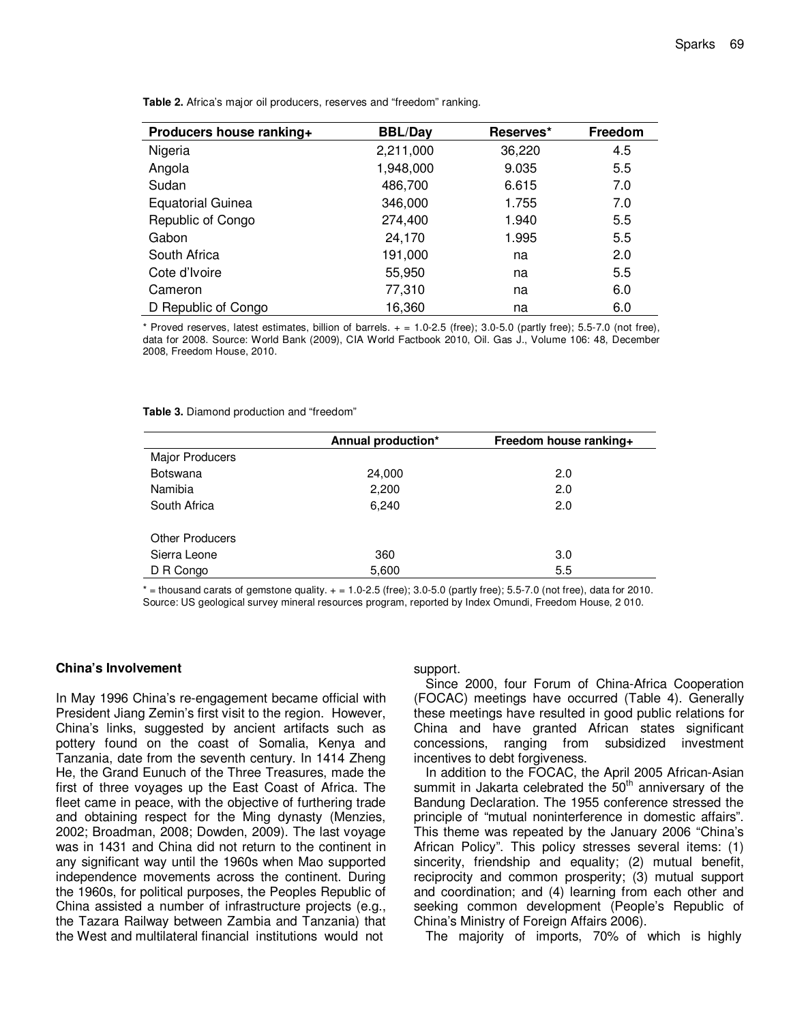| Producers house ranking+ | <b>BBL/Day</b> | Reserves* | Freedom |
|--------------------------|----------------|-----------|---------|
| Nigeria                  | 2,211,000      | 36,220    | 4.5     |
| Angola                   | 1,948,000      | 9.035     | 5.5     |
| Sudan                    | 486,700        | 6.615     | 7.0     |
| <b>Equatorial Guinea</b> | 346,000        | 1.755     | 7.0     |
| Republic of Congo        | 274,400        | 1.940     | 5.5     |
| Gabon                    | 24,170         | 1.995     | 5.5     |
| South Africa             | 191,000        | na        | 2.0     |
| Cote d'Ivoire            | 55,950         | na        | 5.5     |
| Cameron                  | 77,310         | na        | 6.0     |
| D Republic of Congo      | 16,360         | na        | 6.0     |

**Table 2.** Africa's major oil producers, reserves and "freedom" ranking.

\* Proved reserves, latest estimates, billion of barrels.  $+ = 1.0 - 2.5$  (free); 3.0-5.0 (partly free); 5.5-7.0 (not free), data for 2008. Source: World Bank (2009), CIA World Factbook 2010, Oil. Gas J., Volume 106: 48, December 2008, Freedom House, 2010.

|                        | Annual production* | Freedom house ranking+ |
|------------------------|--------------------|------------------------|
| Major Producers        |                    |                        |
| <b>Botswana</b>        | 24,000             | 2.0                    |
| Namibia                | 2,200              | 2.0                    |
| South Africa           | 6,240              | 2.0                    |
| <b>Other Producers</b> |                    |                        |
| Sierra Leone           | 360                | 3.0                    |
| D R Congo              | 5,600              | 5.5                    |
|                        |                    |                        |

 $* =$  thousand carats of gemstone quality.  $+ = 1.0 - 2.5$  (free); 3.0-5.0 (partly free); 5.5-7.0 (not free), data for 2010. Source: US geological survey mineral resources program, reported by Index Omundi, Freedom House, 2 010.

#### **China's Involvement**

In May 1996 China's re-engagement became official with President Jiang Zemin's first visit to the region. However, China's links, suggested by ancient artifacts such as pottery found on the coast of Somalia, Kenya and Tanzania, date from the seventh century. In 1414 Zheng He, the Grand Eunuch of the Three Treasures, made the first of three voyages up the East Coast of Africa. The fleet came in peace, with the objective of furthering trade and obtaining respect for the Ming dynasty (Menzies, 2002; Broadman, 2008; Dowden, 2009). The last voyage was in 1431 and China did not return to the continent in any significant way until the 1960s when Mao supported independence movements across the continent. During the 1960s, for political purposes, the Peoples Republic of China assisted a number of infrastructure projects (e.g., the Tazara Railway between Zambia and Tanzania) that the West and multilateral financial institutions would not

#### support.

Since 2000, four Forum of China-Africa Cooperation (FOCAC) meetings have occurred (Table 4). Generally these meetings have resulted in good public relations for China and have granted African states significant concessions, ranging from subsidized investment incentives to debt forgiveness.

In addition to the FOCAC, the April 2005 African-Asian summit in Jakarta celebrated the  $50<sup>th</sup>$  anniversary of the Bandung Declaration. The 1955 conference stressed the principle of "mutual noninterference in domestic affairs". This theme was repeated by the January 2006 "China's African Policy". This policy stresses several items: (1) sincerity, friendship and equality; (2) mutual benefit, reciprocity and common prosperity; (3) mutual support and coordination; and (4) learning from each other and seeking common development (People's Republic of China's Ministry of Foreign Affairs 2006).

The majority of imports, 70% of which is highly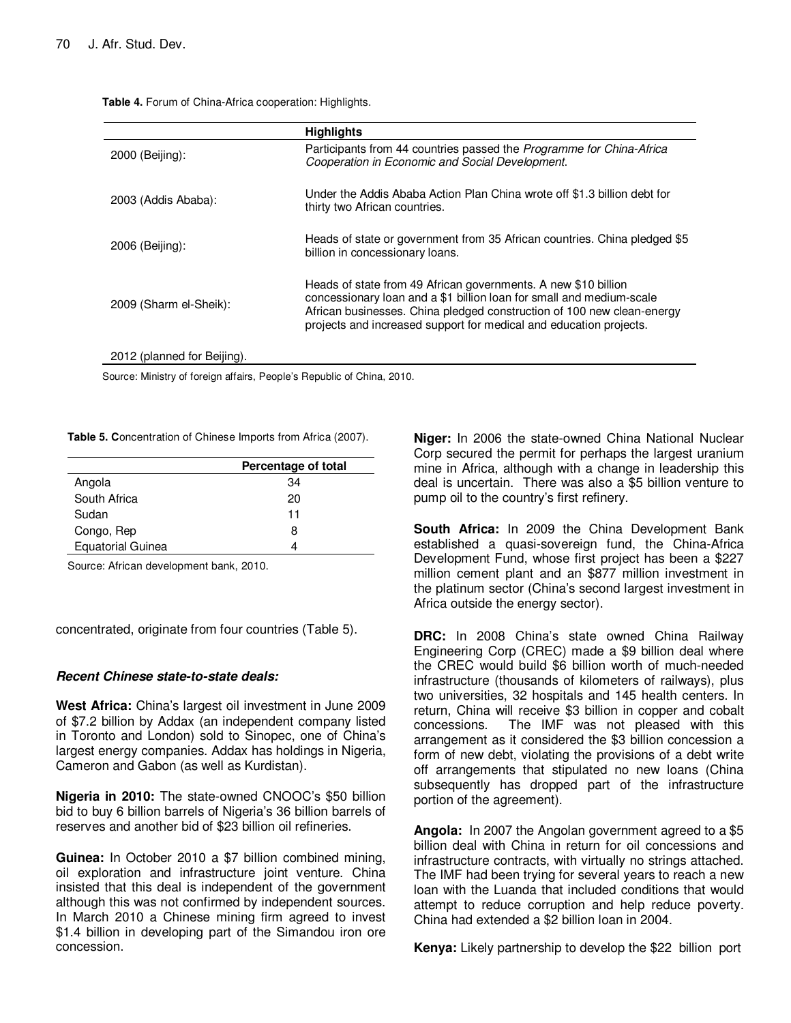**Table 4.** Forum of China-Africa cooperation: Highlights.

|                             | <b>Highlights</b>                                                                                                                                                                                                                                                                      |
|-----------------------------|----------------------------------------------------------------------------------------------------------------------------------------------------------------------------------------------------------------------------------------------------------------------------------------|
| 2000 (Beijing):             | Participants from 44 countries passed the <i>Programme for China-Africa</i><br>Cooperation in Economic and Social Development.                                                                                                                                                         |
| 2003 (Addis Ababa):         | Under the Addis Ababa Action Plan China wrote off \$1.3 billion debt for<br>thirty two African countries.                                                                                                                                                                              |
| 2006 (Beijing):             | Heads of state or government from 35 African countries. China pledged \$5<br>billion in concessionary loans.                                                                                                                                                                           |
| 2009 (Sharm el-Sheik):      | Heads of state from 49 African governments. A new \$10 billion<br>concessionary loan and a \$1 billion loan for small and medium-scale<br>African businesses. China pledged construction of 100 new clean-energy<br>projects and increased support for medical and education projects. |
| 2012 (planned for Beijing). |                                                                                                                                                                                                                                                                                        |

Source: Ministry of foreign affairs, People's Republic of China, 2010.

**Table 5. C**oncentration of Chinese Imports from Africa (2007).

|                          | Percentage of total |
|--------------------------|---------------------|
| Angola                   | 34                  |
| South Africa             | 20                  |
| Sudan                    | 11                  |
| Congo, Rep               | 8                   |
| <b>Equatorial Guinea</b> | 4                   |

Source: African development bank, 2010.

concentrated, originate from four countries (Table 5).

#### **Recent Chinese state-to-state deals:**

**West Africa:** China's largest oil investment in June 2009 of \$7.2 billion by Addax (an independent company listed in Toronto and London) sold to Sinopec, one of China's largest energy companies. Addax has holdings in Nigeria, Cameron and Gabon (as well as Kurdistan).

**Nigeria in 2010:** The state-owned CNOOC's \$50 billion bid to buy 6 billion barrels of Nigeria's 36 billion barrels of reserves and another bid of \$23 billion oil refineries.

**Guinea:** In October 2010 a \$7 billion combined mining, oil exploration and infrastructure joint venture. China insisted that this deal is independent of the government although this was not confirmed by independent sources. In March 2010 a Chinese mining firm agreed to invest \$1.4 billion in developing part of the Simandou iron ore concession.

**Niger:** In 2006 the state-owned China National Nuclear Corp secured the permit for perhaps the largest uranium mine in Africa, although with a change in leadership this deal is uncertain. There was also a \$5 billion venture to pump oil to the country's first refinery.

**South Africa:** In 2009 the China Development Bank established a quasi-sovereign fund, the China-Africa Development Fund, whose first project has been a \$227 million cement plant and an \$877 million investment in the platinum sector (China's second largest investment in Africa outside the energy sector).

**DRC:** In 2008 China's state owned China Railway Engineering Corp (CREC) made a \$9 billion deal where the CREC would build \$6 billion worth of much-needed infrastructure (thousands of kilometers of railways), plus two universities, 32 hospitals and 145 health centers. In return, China will receive \$3 billion in copper and cobalt concessions. The IMF was not pleased with this arrangement as it considered the \$3 billion concession a form of new debt, violating the provisions of a debt write off arrangements that stipulated no new loans (China subsequently has dropped part of the infrastructure portion of the agreement).

**Angola:** In 2007 the Angolan government agreed to a \$5 billion deal with China in return for oil concessions and infrastructure contracts, with virtually no strings attached. The IMF had been trying for several years to reach a new loan with the Luanda that included conditions that would attempt to reduce corruption and help reduce poverty. China had extended a \$2 billion loan in 2004.

**Kenya:** Likely partnership to develop the \$22 billion port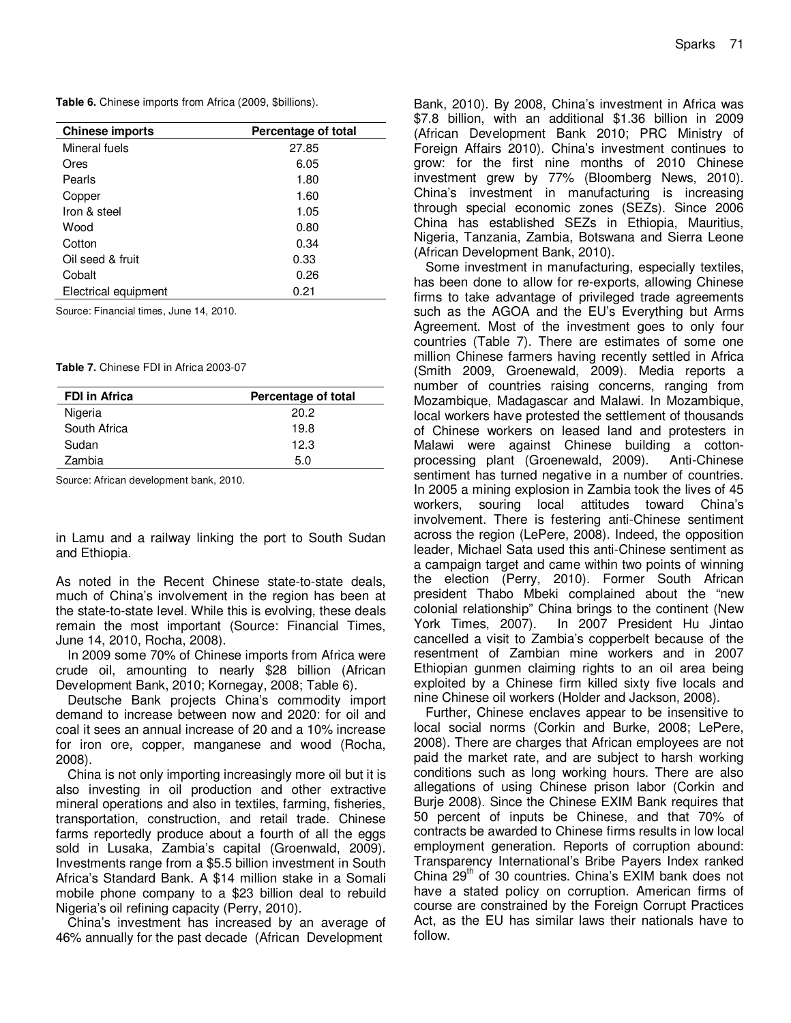**Table 6.** Chinese imports from Africa (2009, \$billions).

| <b>Chinese imports</b> | Percentage of total |
|------------------------|---------------------|
| Mineral fuels          | 27.85               |
| Ores                   | 6.05                |
| Pearls                 | 1.80                |
| Copper                 | 1.60                |
| Iron & steel           | 1.05                |
| Wood                   | 0.80                |
| Cotton                 | 0.34                |
| Oil seed & fruit       | 0.33                |
| Cobalt                 | 0.26                |
| Electrical equipment   | 0.21                |

Source: Financial times, June 14, 2010.

**Table 7.** Chinese FDI in Africa 2003-07

| <b>FDI in Africa</b> | Percentage of total |
|----------------------|---------------------|
| Nigeria              | 20.2                |
| South Africa         | 19.8                |
| Sudan                | 12.3                |
| Zambia               | 5.0                 |

Source: African development bank, 2010.

in Lamu and a railway linking the port to South Sudan and Ethiopia.

As noted in the Recent Chinese state-to-state deals, much of China's involvement in the region has been at the state-to-state level. While this is evolving, these deals remain the most important (Source: Financial Times, June 14, 2010, Rocha, 2008).

In 2009 some 70% of Chinese imports from Africa were crude oil, amounting to nearly \$28 billion (African Development Bank, 2010; Kornegay, 2008; Table 6).

Deutsche Bank projects China's commodity import demand to increase between now and 2020: for oil and coal it sees an annual increase of 20 and a 10% increase for iron ore, copper, manganese and wood (Rocha, 2008).

China is not only importing increasingly more oil but it is also investing in oil production and other extractive mineral operations and also in textiles, farming, fisheries, transportation, construction, and retail trade. Chinese farms reportedly produce about a fourth of all the eggs sold in Lusaka, Zambia's capital (Groenwald, 2009). Investments range from a \$5.5 billion investment in South Africa's Standard Bank. A \$14 million stake in a Somali mobile phone company to a \$23 billion deal to rebuild Nigeria's oil refining capacity (Perry, 2010).

China's investment has increased by an average of 46% annually for the past decade (African Development

Bank, 2010). By 2008, China's investment in Africa was \$7.8 billion, with an additional \$1.36 billion in 2009 (African Development Bank 2010; PRC Ministry of Foreign Affairs 2010). China's investment continues to grow: for the first nine months of 2010 Chinese investment grew by 77% (Bloomberg News, 2010). China's investment in manufacturing is increasing through special economic zones (SEZs). Since 2006 China has established SEZs in Ethiopia, Mauritius, Nigeria, Tanzania, Zambia, Botswana and Sierra Leone (African Development Bank, 2010).

Some investment in manufacturing, especially textiles, has been done to allow for re-exports, allowing Chinese firms to take advantage of privileged trade agreements such as the AGOA and the EU's Everything but Arms Agreement. Most of the investment goes to only four countries (Table 7). There are estimates of some one million Chinese farmers having recently settled in Africa (Smith 2009, Groenewald, 2009). Media reports a number of countries raising concerns, ranging from Mozambique, Madagascar and Malawi. In Mozambique, local workers have protested the settlement of thousands of Chinese workers on leased land and protesters in Malawi were against Chinese building a cottonprocessing plant (Groenewald, 2009). Anti-Chinese sentiment has turned negative in a number of countries. In 2005 a mining explosion in Zambia took the lives of 45 workers, souring local attitudes toward China's involvement. There is festering anti-Chinese sentiment across the region (LePere, 2008). Indeed, the opposition leader, Michael Sata used this anti-Chinese sentiment as a campaign target and came within two points of winning the election (Perry, 2010). Former South African president Thabo Mbeki complained about the "new colonial relationship" China brings to the continent (New York Times, 2007). In 2007 President Hu Jintao cancelled a visit to Zambia's copperbelt because of the resentment of Zambian mine workers and in 2007 Ethiopian gunmen claiming rights to an oil area being exploited by a Chinese firm killed sixty five locals and nine Chinese oil workers (Holder and Jackson, 2008).

Further, Chinese enclaves appear to be insensitive to local social norms (Corkin and Burke, 2008; LePere, 2008). There are charges that African employees are not paid the market rate, and are subject to harsh working conditions such as long working hours. There are also allegations of using Chinese prison labor (Corkin and Burje 2008). Since the Chinese EXIM Bank requires that 50 percent of inputs be Chinese, and that 70% of contracts be awarded to Chinese firms results in low local employment generation. Reports of corruption abound: Transparency International's Bribe Payers Index ranked China  $29<sup>th</sup>$  of 30 countries. China's EXIM bank does not have a stated policy on corruption. American firms of course are constrained by the Foreign Corrupt Practices Act, as the EU has similar laws their nationals have to follow.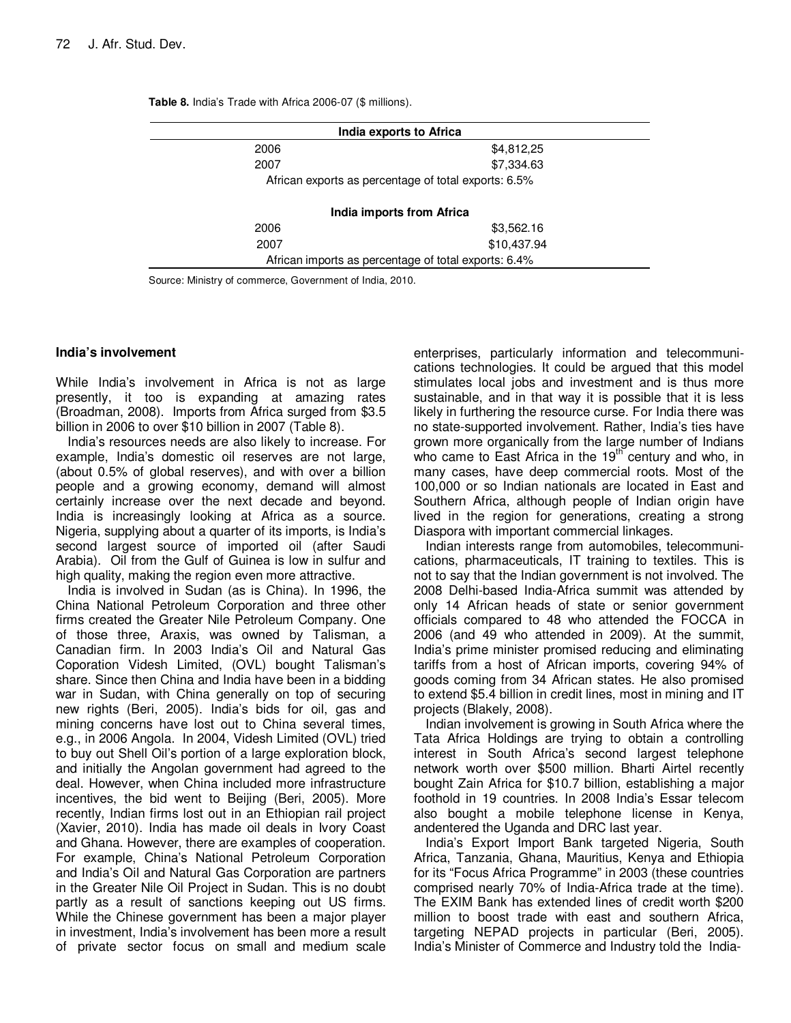| India exports to Africa |                                                      |  |
|-------------------------|------------------------------------------------------|--|
| 2006                    | \$4,812,25                                           |  |
| 2007                    | \$7,334.63                                           |  |
|                         | African exports as percentage of total exports: 6.5% |  |
|                         | India imports from Africa                            |  |
| 2006                    | \$3,562.16                                           |  |
| 2007                    | \$10,437.94                                          |  |
|                         | African imports as percentage of total exports: 6.4% |  |
|                         |                                                      |  |

**Table 8.** India's Trade with Africa 2006-07 (\$ millions).

Source: Ministry of commerce, Government of India, 2010.

#### **India's involvement**

While India's involvement in Africa is not as large presently, it too is expanding at amazing rates (Broadman, 2008). Imports from Africa surged from \$3.5 billion in 2006 to over \$10 billion in 2007 (Table 8).

India's resources needs are also likely to increase. For example, India's domestic oil reserves are not large, (about 0.5% of global reserves), and with over a billion people and a growing economy, demand will almost certainly increase over the next decade and beyond. India is increasingly looking at Africa as a source. Nigeria, supplying about a quarter of its imports, is India's second largest source of imported oil (after Saudi Arabia). Oil from the Gulf of Guinea is low in sulfur and high quality, making the region even more attractive.

India is involved in Sudan (as is China). In 1996, the China National Petroleum Corporation and three other firms created the Greater Nile Petroleum Company. One of those three, Araxis, was owned by Talisman, a Canadian firm. In 2003 India's Oil and Natural Gas Coporation Videsh Limited, (OVL) bought Talisman's share. Since then China and India have been in a bidding war in Sudan, with China generally on top of securing new rights (Beri, 2005). India's bids for oil, gas and mining concerns have lost out to China several times, e.g., in 2006 Angola. In 2004, Videsh Limited (OVL) tried to buy out Shell Oil's portion of a large exploration block, and initially the Angolan government had agreed to the deal. However, when China included more infrastructure incentives, the bid went to Beijing (Beri, 2005). More recently, Indian firms lost out in an Ethiopian rail project (Xavier, 2010). India has made oil deals in Ivory Coast and Ghana. However, there are examples of cooperation. For example, China's National Petroleum Corporation and India's Oil and Natural Gas Corporation are partners in the Greater Nile Oil Project in Sudan. This is no doubt partly as a result of sanctions keeping out US firms. While the Chinese government has been a major player in investment, India's involvement has been more a result of private sector focus on small and medium scale

enterprises, particularly information and telecommunications technologies. It could be argued that this model stimulates local jobs and investment and is thus more sustainable, and in that way it is possible that it is less likely in furthering the resource curse. For India there was no state-supported involvement. Rather, India's ties have grown more organically from the large number of Indians who came to East Africa in the  $19<sup>th</sup>$  century and who, in many cases, have deep commercial roots. Most of the 100,000 or so Indian nationals are located in East and Southern Africa, although people of Indian origin have lived in the region for generations, creating a strong Diaspora with important commercial linkages.

Indian interests range from automobiles, telecommunications, pharmaceuticals, IT training to textiles. This is not to say that the Indian government is not involved. The 2008 Delhi-based India-Africa summit was attended by only 14 African heads of state or senior government officials compared to 48 who attended the FOCCA in 2006 (and 49 who attended in 2009). At the summit, India's prime minister promised reducing and eliminating tariffs from a host of African imports, covering 94% of goods coming from 34 African states. He also promised to extend \$5.4 billion in credit lines, most in mining and IT projects (Blakely, 2008).

Indian involvement is growing in South Africa where the Tata Africa Holdings are trying to obtain a controlling interest in South Africa's second largest telephone network worth over \$500 million. Bharti Airtel recently bought Zain Africa for \$10.7 billion, establishing a major foothold in 19 countries. In 2008 India's Essar telecom also bought a mobile telephone license in Kenya, andentered the Uganda and DRC last year.

India's Export Import Bank targeted Nigeria, South Africa, Tanzania, Ghana, Mauritius, Kenya and Ethiopia for its "Focus Africa Programme" in 2003 (these countries comprised nearly 70% of India-Africa trade at the time). The EXIM Bank has extended lines of credit worth \$200 million to boost trade with east and southern Africa, targeting NEPAD projects in particular (Beri, 2005). India's Minister of Commerce and Industry told the India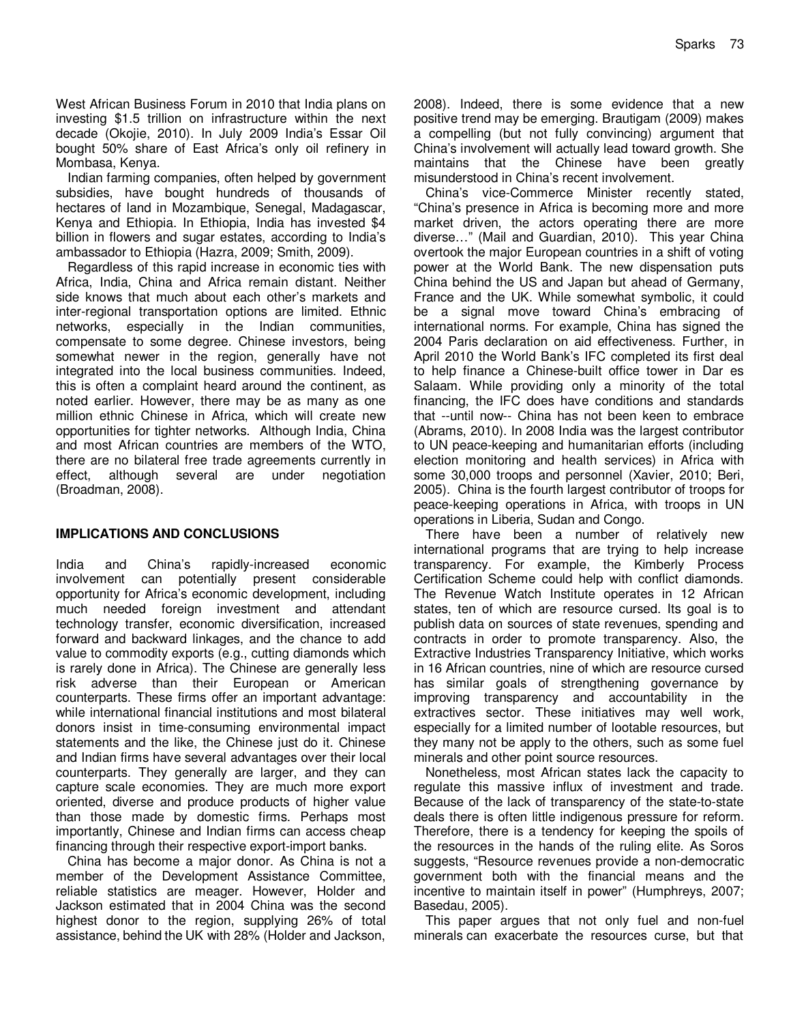West African Business Forum in 2010 that India plans on investing \$1.5 trillion on infrastructure within the next decade (Okojie, 2010). In July 2009 India's Essar Oil bought 50% share of East Africa's only oil refinery in Mombasa, Kenya.

Indian farming companies, often helped by government subsidies, have bought hundreds of thousands of hectares of land in Mozambique, Senegal, Madagascar, Kenya and Ethiopia. In Ethiopia, India has invested \$4 billion in flowers and sugar estates, according to India's ambassador to Ethiopia (Hazra, 2009; Smith, 2009).

Regardless of this rapid increase in economic ties with Africa, India, China and Africa remain distant. Neither side knows that much about each other's markets and inter-regional transportation options are limited. Ethnic networks, especially in the Indian communities, compensate to some degree. Chinese investors, being somewhat newer in the region, generally have not integrated into the local business communities. Indeed, this is often a complaint heard around the continent, as noted earlier. However, there may be as many as one million ethnic Chinese in Africa, which will create new opportunities for tighter networks. Although India, China and most African countries are members of the WTO, there are no bilateral free trade agreements currently in effect, although several are under negotiation (Broadman, 2008).

## **IMPLICATIONS AND CONCLUSIONS**

India and China's rapidly-increased economic involvement can potentially present considerable opportunity for Africa's economic development, including much needed foreign investment and attendant technology transfer, economic diversification, increased forward and backward linkages, and the chance to add value to commodity exports (e.g., cutting diamonds which is rarely done in Africa). The Chinese are generally less risk adverse than their European or American counterparts. These firms offer an important advantage: while international financial institutions and most bilateral donors insist in time-consuming environmental impact statements and the like, the Chinese just do it. Chinese and Indian firms have several advantages over their local counterparts. They generally are larger, and they can capture scale economies. They are much more export oriented, diverse and produce products of higher value than those made by domestic firms. Perhaps most importantly, Chinese and Indian firms can access cheap financing through their respective export-import banks.

China has become a major donor. As China is not a member of the Development Assistance Committee, reliable statistics are meager. However, Holder and Jackson estimated that in 2004 China was the second highest donor to the region, supplying 26% of total assistance, behind the UK with 28% (Holder and Jackson, 2008). Indeed, there is some evidence that a new positive trend may be emerging. Brautigam (2009) makes a compelling (but not fully convincing) argument that China's involvement will actually lead toward growth. She maintains that the Chinese have been greatly misunderstood in China's recent involvement.

China's vice-Commerce Minister recently stated, "China's presence in Africa is becoming more and more market driven, the actors operating there are more diverse…" (Mail and Guardian, 2010). This year China overtook the major European countries in a shift of voting power at the World Bank. The new dispensation puts China behind the US and Japan but ahead of Germany, France and the UK. While somewhat symbolic, it could be a signal move toward China's embracing of international norms. For example, China has signed the 2004 Paris declaration on aid effectiveness. Further, in April 2010 the World Bank's IFC completed its first deal to help finance a Chinese-built office tower in Dar es Salaam. While providing only a minority of the total financing, the IFC does have conditions and standards that --until now-- China has not been keen to embrace (Abrams, 2010). In 2008 India was the largest contributor to UN peace-keeping and humanitarian efforts (including election monitoring and health services) in Africa with some 30,000 troops and personnel (Xavier, 2010; Beri, 2005). China is the fourth largest contributor of troops for peace-keeping operations in Africa, with troops in UN operations in Liberia, Sudan and Congo.

There have been a number of relatively new international programs that are trying to help increase transparency. For example, the Kimberly Process Certification Scheme could help with conflict diamonds. The Revenue Watch Institute operates in 12 African states, ten of which are resource cursed. Its goal is to publish data on sources of state revenues, spending and contracts in order to promote transparency. Also, the Extractive Industries Transparency Initiative, which works in 16 African countries, nine of which are resource cursed has similar goals of strengthening governance by improving transparency and accountability in the extractives sector. These initiatives may well work, especially for a limited number of lootable resources, but they many not be apply to the others, such as some fuel minerals and other point source resources.

Nonetheless, most African states lack the capacity to regulate this massive influx of investment and trade. Because of the lack of transparency of the state-to-state deals there is often little indigenous pressure for reform. Therefore, there is a tendency for keeping the spoils of the resources in the hands of the ruling elite. As Soros suggests, "Resource revenues provide a non-democratic government both with the financial means and the incentive to maintain itself in power" (Humphreys, 2007; Basedau, 2005).

This paper argues that not only fuel and non-fuel minerals can exacerbate the resources curse, but that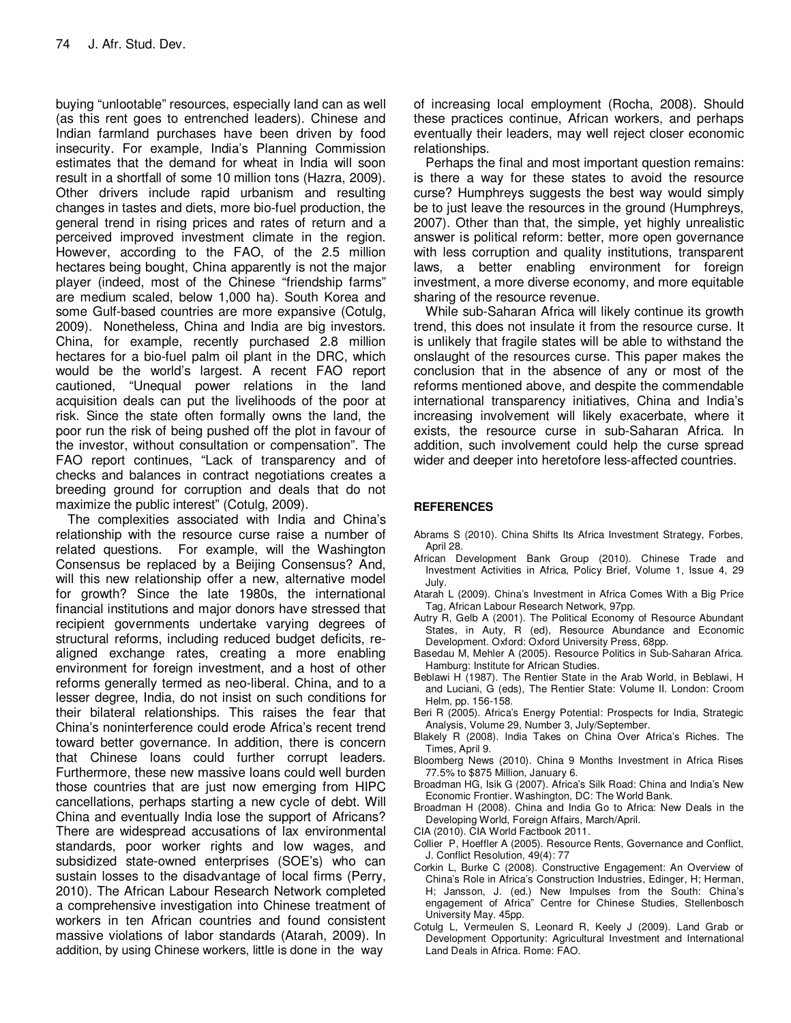buying "unlootable" resources, especially land can as well (as this rent goes to entrenched leaders). Chinese and Indian farmland purchases have been driven by food insecurity. For example, India's Planning Commission estimates that the demand for wheat in India will soon result in a shortfall of some 10 million tons (Hazra, 2009). Other drivers include rapid urbanism and resulting changes in tastes and diets, more bio-fuel production, the general trend in rising prices and rates of return and a perceived improved investment climate in the region. However, according to the FAO, of the 2.5 million hectares being bought, China apparently is not the major player (indeed, most of the Chinese "friendship farms" are medium scaled, below 1,000 ha). South Korea and some Gulf-based countries are more expansive (Cotulg, 2009). Nonetheless, China and India are big investors. China, for example, recently purchased 2.8 million hectares for a bio-fuel palm oil plant in the DRC, which would be the world's largest. A recent FAO report cautioned, "Unequal power relations in the land acquisition deals can put the livelihoods of the poor at risk. Since the state often formally owns the land, the poor run the risk of being pushed off the plot in favour of the investor, without consultation or compensation". The FAO report continues, "Lack of transparency and of checks and balances in contract negotiations creates a breeding ground for corruption and deals that do not maximize the public interest" (Cotulg, 2009).

The complexities associated with India and China's relationship with the resource curse raise a number of related questions. For example, will the Washington Consensus be replaced by a Beijing Consensus? And, will this new relationship offer a new, alternative model for growth? Since the late 1980s, the international financial institutions and major donors have stressed that recipient governments undertake varying degrees of structural reforms, including reduced budget deficits, realigned exchange rates, creating a more enabling environment for foreign investment, and a host of other reforms generally termed as neo-liberal. China, and to a lesser degree, India, do not insist on such conditions for their bilateral relationships. This raises the fear that China's noninterference could erode Africa's recent trend toward better governance. In addition, there is concern that Chinese loans could further corrupt leaders. Furthermore, these new massive loans could well burden those countries that are just now emerging from HIPC cancellations, perhaps starting a new cycle of debt. Will China and eventually India lose the support of Africans? There are widespread accusations of lax environmental standards, poor worker rights and low wages, and subsidized state-owned enterprises (SOE's) who can sustain losses to the disadvantage of local firms (Perry, 2010). The African Labour Research Network completed a comprehensive investigation into Chinese treatment of workers in ten African countries and found consistent massive violations of labor standards (Atarah, 2009). In addition, by using Chinese workers, little is done in the way

of increasing local employment (Rocha, 2008). Should these practices continue, African workers, and perhaps eventually their leaders, may well reject closer economic relationships.

Perhaps the final and most important question remains: is there a way for these states to avoid the resource curse? Humphreys suggests the best way would simply be to just leave the resources in the ground (Humphreys, 2007). Other than that, the simple, yet highly unrealistic answer is political reform: better, more open governance with less corruption and quality institutions, transparent laws, a better enabling environment for foreign investment, a more diverse economy, and more equitable sharing of the resource revenue.

While sub-Saharan Africa will likely continue its growth trend, this does not insulate it from the resource curse. It is unlikely that fragile states will be able to withstand the onslaught of the resources curse. This paper makes the conclusion that in the absence of any or most of the reforms mentioned above, and despite the commendable international transparency initiatives, China and India's increasing involvement will likely exacerbate, where it exists, the resource curse in sub-Saharan Africa. In addition, such involvement could help the curse spread wider and deeper into heretofore less-affected countries.

## **REFERENCES**

- Abrams S (2010). China Shifts Its Africa Investment Strategy, Forbes, April 28.
- African Development Bank Group (2010). Chinese Trade and Investment Activities in Africa, Policy Brief, Volume 1, Issue 4, 29 July.
- Atarah L (2009). China's Investment in Africa Comes With a Big Price Tag, African Labour Research Network, 97pp.
- Autry R, Gelb A (2001). The Political Economy of Resource Abundant States, in Auty, R (ed), Resource Abundance and Economic Development. Oxford: Oxford University Press, 68pp.
- Basedau M, Mehler A (2005). Resource Politics in Sub-Saharan Africa. Hamburg: Institute for African Studies.
- Beblawi H (1987). The Rentier State in the Arab World, in Beblawi, H and Luciani, G (eds), The Rentier State: Volume II. London: Croom Helm, pp. 156-158.
- Beri R (2005). Africa's Energy Potential: Prospects for India, Strategic Analysis, Volume 29, Number 3, July/September.
- Blakely R (2008). India Takes on China Over Africa's Riches. The Times, April 9.
- Bloomberg News (2010). China 9 Months Investment in Africa Rises 77.5% to \$875 Million, January 6.
- Broadman HG, Isik G (2007). Africa's Silk Road: China and India's New Economic Frontier. Washington, DC: The World Bank.
- Broadman H (2008). China and India Go to Africa: New Deals in the Developing World, Foreign Affairs, March/April.
- CIA (2010). CIA World Factbook 2011.
- Collier P, Hoeffler A (2005). Resource Rents, Governance and Conflict, J. Conflict Resolution, 49(4): 77
- Corkin L, Burke C (2008). Constructive Engagement: An Overview of China's Role in Africa's Construction Industries, Edinger, H; Herman, H; Jansson, J. (ed.) New Impulses from the South: China's engagement of Africa" Centre for Chinese Studies, Stellenbosch University May. 45pp.
- Cotulg L, Vermeulen S, Leonard R, Keely J (2009). Land Grab or Development Opportunity: Agricultural Investment and International Land Deals in Africa. Rome: FAO.